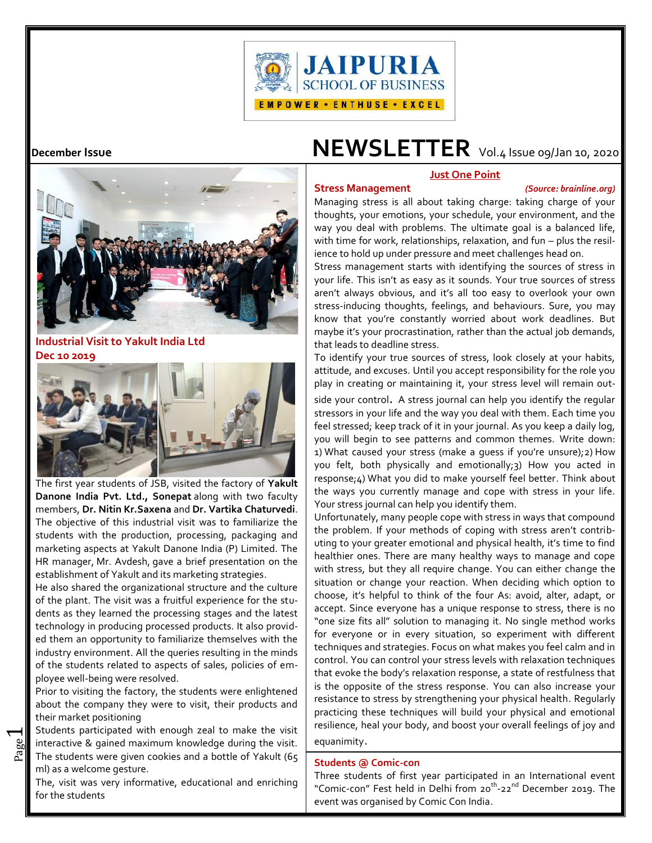

# **December Issue NEWSLETTER** Vol.4 Issue 09/Jan 10, 2020

**Just One Point**



Stress management starts with identifying the sources of stress in your life. This isn't as easy as it sounds. Your true sources of stress aren't always obvious, and it's all too easy to overlook your own stress-inducing thoughts, feelings, and behaviours. Sure, you may know that you're constantly worried about work deadlines. But maybe it's your procrastination, rather than the actual job demands, that leads to deadline stress.

To identify your true sources of stress, look closely at your habits, attitude, and excuses. Until you accept responsibility for the role you play in creating or maintaining it, your stress level will remain out-

side your control. A stress journal can help you identify the regular stressors in your life and the way you deal with them. Each time you feel stressed; keep track of it in your journal. As you keep a daily log, you will begin to see patterns and common themes. Write down: 1) What caused your stress (make a guess if you're unsure);2) How you felt, both physically and emotionally;3) How you acted in response;4) What you did to make yourself feel better. Think about the ways you currently manage and cope with stress in your life. Your stress journal can help you identify them.

Unfortunately, many people cope with stress in ways that compound the problem. If your methods of coping with stress aren't contributing to your greater emotional and physical health, it's time to find healthier ones. There are many healthy ways to manage and cope with stress, but they all require change. You can either change the situation or change your reaction. When deciding which option to choose, it's helpful to think of the four As: avoid, alter, adapt, or accept. Since everyone has a unique response to stress, there is no "one size fits all" solution to managing it. No single method works for everyone or in every situation, so experiment with different techniques and strategies. Focus on what makes you feel calm and in control. You can control your stress levels with relaxation techniques that evoke the body's relaxation response, a state of restfulness that is the opposite of the stress response. You can also increase your resistance to stress by strengthening your physical health. Regularly practicing these techniques will build your physical and emotional resilience, heal your body, and boost your overall feelings of joy and equanimity.

## **Students @ Comic-con**

Three students of first year participated in an International event "Comic-con" Fest held in Delhi from 20<sup>th</sup>-22<sup>nd</sup> December 2019. The event was organised by Comic Con India.



**Industrial Visit to Yakult India Ltd Dec 10 2019**



The first year students of JSB, visited the factory of **Yakult Danone India Pvt. Ltd., Sonepat** along with two faculty members, **Dr. Nitin Kr.Saxena** and **Dr. Vartika Chaturvedi**. The objective of this industrial visit was to familiarize the students with the production, processing, packaging and marketing aspects at Yakult Danone India (P) Limited. The HR manager, Mr. Avdesh, gave a brief presentation on the establishment of Yakult and its marketing strategies.

He also shared the organizational structure and the culture of the plant. The visit was a fruitful experience for the students as they learned the processing stages and the latest technology in producing processed products. It also provided them an opportunity to familiarize themselves with the industry environment. All the queries resulting in the minds of the students related to aspects of sales, policies of employee well-being were resolved.

Prior to visiting the factory, the students were enlightened about the company they were to visit, their products and their market positioning

 $\frac{p}{p}$  interactive & gained maximum knowledge during the visit. equal the students were given cookies and a bottle of Yakult (65 interactive & gained maximum knowledge during the visit.  $\mid$   $\epsilon$ Students participated with enough zeal to make the visit ml) as a welcome gesture.

 $\overline{\phantom{0}}$ 

The, visit was very informative, educational and enriching for the students